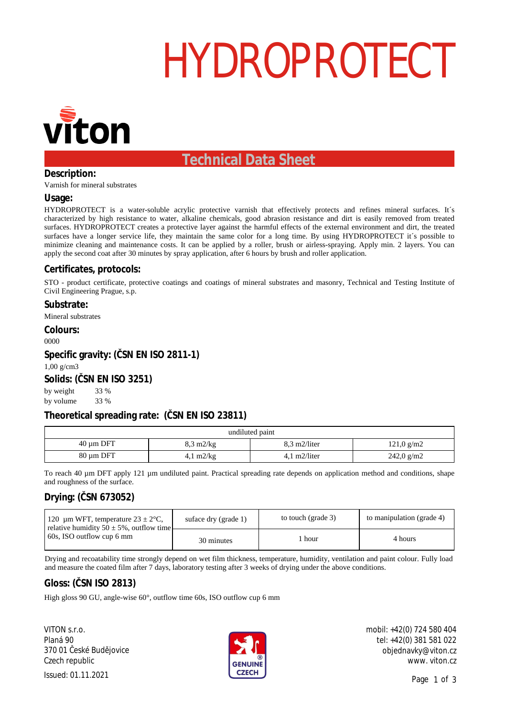## HYDROPROTECT



### **Technical Data Sheet**

#### **Description:**

Varnish for mineral substrates

#### **Usage:**

HYDROPROTECT is a water-soluble acrylic protective varnish that effectively protects and refines mineral surfaces. It's characterized by high resistance to water, alkaline chemicals, good abrasion resistance and dirt is easily removed from treated surfaces. HYDROPROTECT creates a protective layer against the harmful effects of the external environment and dirt, the treated surfaces have a longer service life, they maintain the same color for a long time. By using HYDROPROTECT it's possible to minimize cleaning and maintenance costs. It can be applied by a roller, brush or airless-spraying. Apply min. 2 layers. You can apply the second coat after 30 minutes by spray application, after 6 hours by brush and roller application.

#### **Certificates, protocols:**

STO - product certificate, protective coatings and coatings of mineral substrates and masonry, Technical and Testing Institute of Civil Engineering Prague, s.p.

**Substrate:** Mineral substrates **Colours:** 0000 **Specific gravity: ( SN EN ISO 2811-1)** 1,00 g/cm3 **Solids: ( SN EN ISO 3251)** by weight by volume 33 % 33 %

#### **Theoretical spreading rate: ( SN EN ISO 23811)**

| undiluted paint |                            |                         |                                    |  |
|-----------------|----------------------------|-------------------------|------------------------------------|--|
| $40 \mu m$ DFT  | $8,3 \text{ m}$ 2/kg       | $8.3 \text{ m}$ 2/liter | $121,0 \frac{\text{g}}{\text{m2}}$ |  |
| 80 µm DFT       | $4,1 \text{ m}2/\text{kg}$ | $4.1 \text{ m}2/l$ iter | $242,0 \text{ g/m2}$               |  |

To reach 40 µm DFT apply 121 µm undiluted paint. Practical spreading rate depends on application method and conditions, shape and roughness of the surface.

#### **Drying: ( SN 673052)**

| 120 µm WFT, temperature $23 \pm 2$ °C,<br>relative humidity $50 \pm 5\%$ , outflow time<br>60s, ISO outflow cup 6 mm | suface dry (grade 1) | to touch (grade 3) | to manipulation (grade 4) |
|----------------------------------------------------------------------------------------------------------------------|----------------------|--------------------|---------------------------|
|                                                                                                                      | 30 minutes           | hour               | 4 hours                   |

Drying and recoatability time strongly depend on wet film thickness, temperature, humidity, ventilation and paint colour. Fully load and measure the coated film after 7 days, laboratory testing after 3 weeks of drying under the above conditions.

#### **Gloss: ( SN ISO 2813)**

High gloss 90 GU, angle-wise 60°, outflow time 60s, ISO outflow cup 6 mm

VITON s.r.o. Planá 90 370 01 eské Bud jovice Czech republic



mobil: +42(0) 724 580 404 tel: +42(0) 381 581 022 objednavky@viton.cz www. viton.cz

Page 1 of 3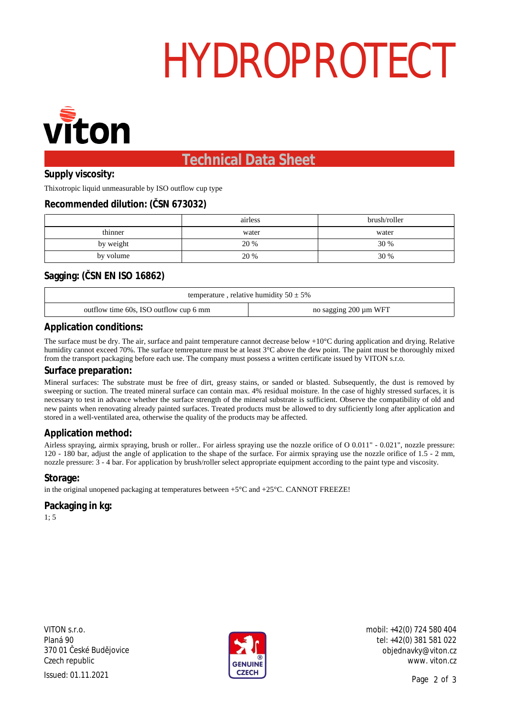# HYDROPROTECT



### **Technical Data Sheet**

**Supply viscosity:**

Thixotropic liquid unmeasurable by ISO outflow cup type

#### **Recommended dilution: ( SN 673032)**

|           | airless | brush/roller |
|-----------|---------|--------------|
| thinner   | water   | water        |
| by weight | 20 %    | 30 %         |
| by volume | 20 %    | 30 %         |

#### **Sagging: ( SN EN ISO 16862)**

| temperature, relative humidity $50 \pm 5\%$ |                       |  |  |  |
|---------------------------------------------|-----------------------|--|--|--|
| outflow time 60s, ISO outflow cup 6 mm      | no sagging 200 µm WFT |  |  |  |

#### **Application conditions:**

The surface must be dry. The air, surface and paint temperature cannot decrease below +10°C during application and drying. Relative humidity cannot exceed 70%. The surface temrepature must be at least 3°C above the dew point. The paint must be thoroughly mixed from the transport packaging before each use. The company must possess a written certificate issued by VITON s.r.o.

#### **Surface preparation:**

Mineral surfaces: The substrate must be free of dirt, greasy stains, or sanded or blasted. Subsequently, the dust is removed by sweeping or suction. The treated mineral surface can contain max. 4% residual moisture. In the case of highly stressed surfaces, it is necessary to test in advance whether the surface strength of the mineral substrate is sufficient. Observe the compatibility of old and new paints when renovating already painted surfaces. Treated products must be allowed to dry sufficiently long after application and stored in a well-ventilated area, otherwise the quality of the products may be affected.

#### **Application method:**

Airless spraying, airmix spraying, brush or roller.. For airless spraying use the nozzle orifice of O 0.011" - 0.021", nozzle pressure: 120 - 180 bar, adjust the angle of application to the shape of the surface. For airmix spraying use the nozzle orifice of 1.5 - 2 mm, nozzle pressure: 3 - 4 bar. For application by brush/roller select appropriate equipment according to the paint type and viscosity.

#### **Storage:**

in the original unopened packaging at temperatures between  $+5^{\circ}C$  and  $+25^{\circ}C$ . CANNOT FREEZE!

### **Packaging in kg:**

1; 5

VITON s.r.o. Planá 90 370 01 eské Bud jovice Czech republic  ${{\sf l}}$  Issued: 01.11.2021 Page 2



mobil: +42(0) 724 580 404 tel: +42(0) 381 581 022 objednavky@viton.cz www. viton.cz